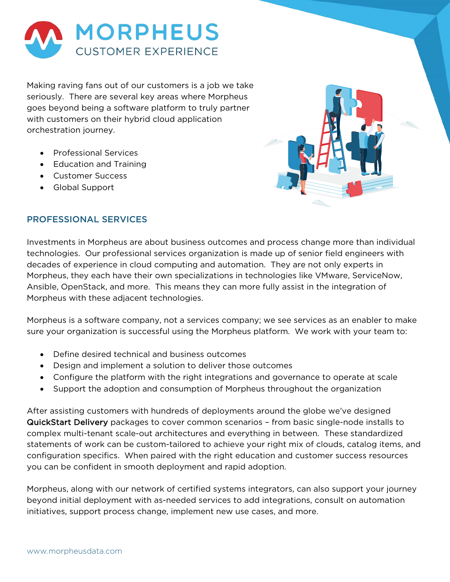

Making raving fans out of our customers is a job we take seriously. There are several key areas where Morpheus goes beyond being a software platform to truly partner with customers on their hybrid cloud application orchestration journey.

- Professional Services
- Education and Training
- Customer Success
- Global Support



# PROFESSIONAL SERVICES

Investments in Morpheus are about business outcomes and process change more than individual technologies. Our professional services organization is made up of senior field engineers with decades of experience in cloud computing and automation. They are not only experts in Morpheus, they each have their own specializations in technologies like VMware, ServiceNow, Ansible, OpenStack, and more. This means they can more fully assist in the integration of Morpheus with these adjacent technologies.

Morpheus is a software company, not a services company; we see services as an enabler to make sure your organization is successful using the Morpheus platform. We work with your team to:

- Define desired technical and business outcomes
- Design and implement a solution to deliver those outcomes
- Configure the platform with the right integrations and governance to operate at scale
- Support the adoption and consumption of Morpheus throughout the organization

After assisting customers with hundreds of deployments around the globe we've designed QuickStart Delivery packages to cover common scenarios – from basic single-node installs to complex multi-tenant scale-out architectures and everything in between. These standardized statements of work can be custom-tailored to achieve your right mix of clouds, catalog items, and configuration specifics. When paired with the right education and customer success resources you can be confident in smooth deployment and rapid adoption.

Morpheus, along with our network of certified systems integrators, can also support your journey beyond initial deployment with as-needed services to add integrations, consult on automation initiatives, support process change, implement new use cases, and more.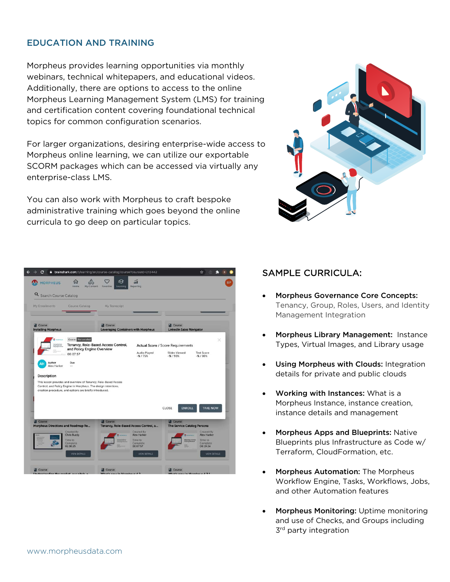## EDUCATION AND TRAINING

Morpheus provides learning opportunities via monthly webinars, technical whitepapers, and educational videos. Additionally, there are options to access to the online Morpheus Learning Management System (LMS) for training and certification content covering foundational technical topics for common configuration scenarios.

For larger organizations, desiring enterprise-wide access to Morpheus online learning, we can utilize our exportable SCORM packages which can be accessed via virtually any enterprise-class LMS.

You can also work with Morpheus to craft bespoke administrative training which goes beyond the online curricula to go deep on particular topics.



| My Enrollments                              | Course Catalog                                                                                                            | My Transcript                                        |                                                                           |                                           |                                  |
|---------------------------------------------|---------------------------------------------------------------------------------------------------------------------------|------------------------------------------------------|---------------------------------------------------------------------------|-------------------------------------------|----------------------------------|
| <b>Course</b><br><b>Installing Morpheus</b> |                                                                                                                           | Course<br><b>Leveraging Containers with Morpheus</b> |                                                                           | Course<br><b>LinkedIn Sales Navigator</b> |                                  |
|                                             | Course Not enrolled                                                                                                       | Tenancy, Role-Based Access Control,                  |                                                                           | <b>Actual Score / Score Requirements</b>  | ×                                |
|                                             | and Policy Engine Overview<br>00:07:57                                                                                    |                                                      | Audio Played<br>$-$ %/75%                                                 | <b>Slides Viewed</b><br>$-$ %/90%         | <b>Test Score</b><br>$-$ % / 80% |
| Author<br>AH<br>Alex Harker                 | Due<br>$\ddot{\phantom{1}}$                                                                                               |                                                      |                                                                           |                                           |                                  |
| Description                                 |                                                                                                                           |                                                      |                                                                           |                                           |                                  |
|                                             | This lesson provides and overview of Tenancy, Role-Based Access                                                           |                                                      |                                                                           |                                           |                                  |
|                                             | Control, and Policy Engine in Morpheus. The design intentions,<br>creation procedure, and options are briefly introduced. |                                                      |                                                                           |                                           |                                  |
|                                             |                                                                                                                           |                                                      |                                                                           |                                           |                                  |
|                                             |                                                                                                                           |                                                      |                                                                           | CLOSE<br><b>ENROLL</b>                    | <b>TAKE NOW</b>                  |
|                                             |                                                                                                                           |                                                      |                                                                           |                                           |                                  |
| Course                                      |                                                                                                                           | <b>DI</b> Course                                     |                                                                           | Course                                    |                                  |
| Morpheus Directions and Roadmap Re          | Created By<br>Chris Buzzy                                                                                                 |                                                      | Tenancy, Role-Based Access Control, a<br><b>Created By</b><br>Alex Harker | <b>The Service Catalog Persona</b>        | Created By<br>Alex Harker        |
|                                             |                                                                                                                           |                                                      |                                                                           |                                           |                                  |

# SAMPLE CURRICULA:

- Morpheus Governance Core Concepts: Tenancy, Group, Roles, Users, and Identity Management Integration
- Morpheus Library Management: Instance Types, Virtual Images, and Library usage
- Using Morpheus with Clouds: Integration details for private and public clouds
- Working with Instances: What is a Morpheus Instance, instance creation, instance details and management
- Morpheus Apps and Blueprints: Native Blueprints plus Infrastructure as Code w/ Terraform, CloudFormation, etc.
- Morpheus Automation: The Morpheus Workflow Engine, Tasks, Workflows, Jobs, and other Automation features
- Morpheus Monitoring: Uptime monitoring and use of Checks, and Groups including  $3<sup>rd</sup>$  party integration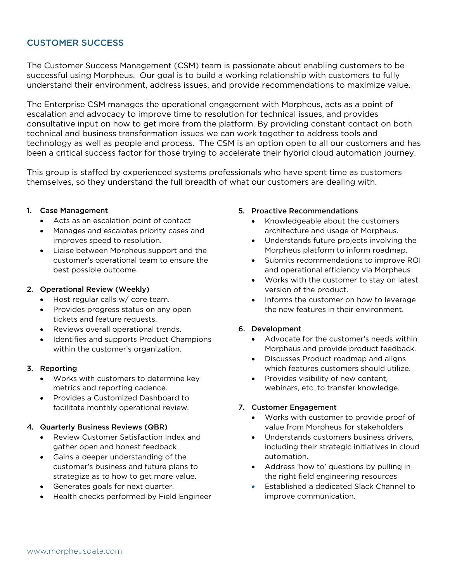# CUSTOMER SUCCESS

The Customer Success Management (CSM) team is passionate about enabling customers to be successful using Morpheus. Our goal is to build a working relationship with customers to fully understand their environment, address issues, and provide recommendations to maximize value.

The Enterprise CSM manages the operational engagement with Morpheus, acts as a point of escalation and advocacy to improve time to resolution for technical issues, and provides consultative input on how to get more from the platform. By providing constant contact on both technical and business transformation issues we can work together to address tools and technology as well as people and process. The CSM is an option open to all our customers and has been a critical success factor for those trying to accelerate their hybrid cloud automation journey.

This group is staffed by experienced systems professionals who have spent time as customers themselves, so they understand the full breadth of what our customers are dealing with.

#### 1. Case Management

- Acts as an escalation point of contact
- Manages and escalates priority cases and improves speed to resolution.
- Liaise between Morpheus support and the customer's operational team to ensure the best possible outcome.

#### 2. Operational Review (Weekly)

- Host regular calls w/ core team.
- Provides progress status on any open tickets and feature requests.
- Reviews overall operational trends.
- Identifies and supports Product Champions within the customer's organization.

### 3. Reporting

- Works with customers to determine key metrics and reporting cadence.
- Provides a Customized Dashboard to facilitate monthly operational review.

#### 4. Quarterly Business Reviews (QBR)

- Review Customer Satisfaction Index and gather open and honest feedback
- Gains a deeper understanding of the customer's business and future plans to strategize as to how to get more value.
- Generates goals for next quarter.
- Health checks performed by Field Engineer

#### 5. Proactive Recommendations

- Knowledgeable about the customers architecture and usage of Morpheus.
- Understands future projects involving the Morpheus platform to inform roadmap.
- Submits recommendations to improve ROI and operational efficiency via Morpheus
- Works with the customer to stay on latest version of the product.
- Informs the customer on how to leverage the new features in their environment.

### 6. Development

- Advocate for the customer's needs within Morpheus and provide product feedback.
- Discusses Product roadmap and aligns which features customers should utilize.
- Provides visibility of new content, webinars, etc. to transfer knowledge.

### 7. Customer Engagement

- Works with customer to provide proof of value from Morpheus for stakeholders
- Understands customers business drivers, including their strategic initiatives in cloud automation.
- Address 'how to' questions by pulling in the right field engineering resources
- Established a dedicated Slack Channel to improve communication.